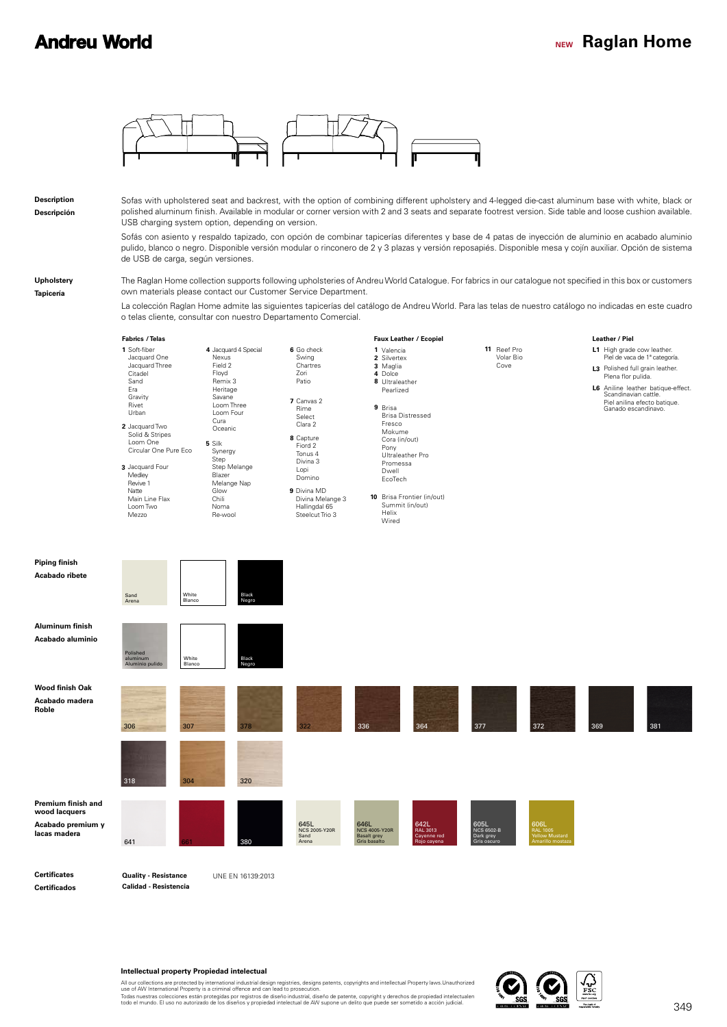## **NEW Raglan Home**



**Certificados**

**Roble**

**Calidad - Resistencia**

**Intellectual property Propiedad intelectual**

All our collections are protected by international industrial design registries, designs patents, copyrights and intellectual Property laws.Unauthorized<br>Todas nuestras colleciones están protegidas por registros de diseño i

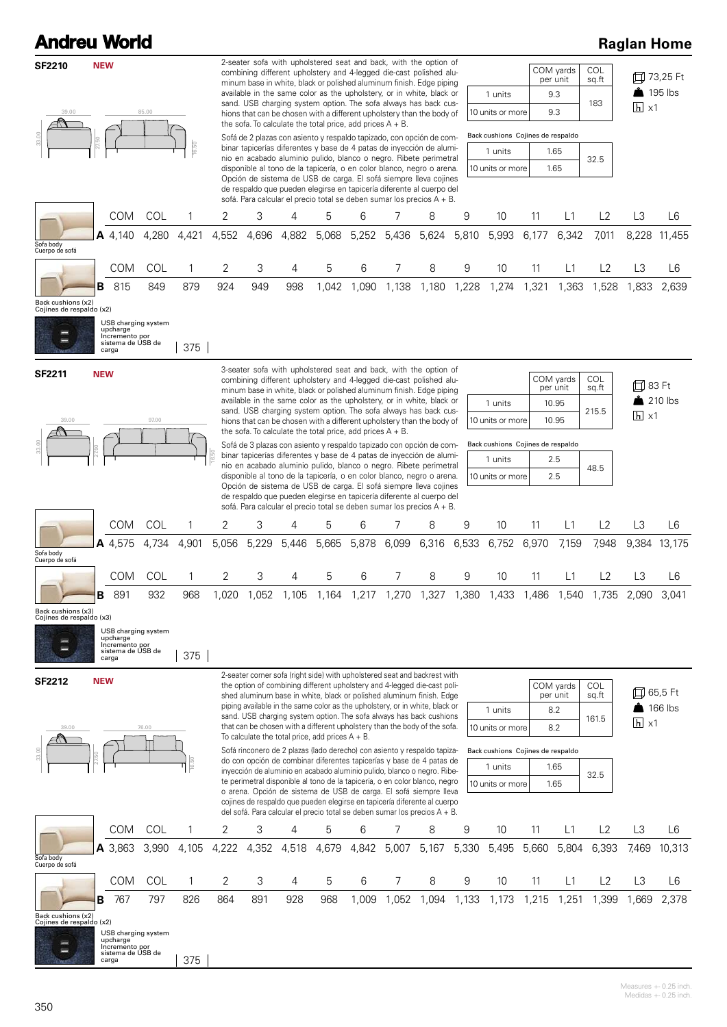| <b>Andreu World</b>                            |                                                                       |                            |            |            |            |            |                                                              |            |            |                                                                                                                                                                                                                                                                                                                                                                                                                                                                                                                                                                                                                                                                                                                                                                                                                                                                                                                                                     |            |                                                                                                 |             |                                                       |                                     |                              | <b>Raglan Home</b>                  |
|------------------------------------------------|-----------------------------------------------------------------------|----------------------------|------------|------------|------------|------------|--------------------------------------------------------------|------------|------------|-----------------------------------------------------------------------------------------------------------------------------------------------------------------------------------------------------------------------------------------------------------------------------------------------------------------------------------------------------------------------------------------------------------------------------------------------------------------------------------------------------------------------------------------------------------------------------------------------------------------------------------------------------------------------------------------------------------------------------------------------------------------------------------------------------------------------------------------------------------------------------------------------------------------------------------------------------|------------|-------------------------------------------------------------------------------------------------|-------------|-------------------------------------------------------|-------------------------------------|------------------------------|-------------------------------------|
| <b>SF2210</b><br>39.00                         | <b>NEW</b>                                                            | 85.00                      |            |            |            |            | the sofa. To calculate the total price, add prices $A + B$ . |            |            | 2-seater sofa with upholstered seat and back, with the option of<br>combining different upholstery and 4-legged die-cast polished alu-<br>minum base in white, black or polished aluminum finish. Edge piping<br>available in the same color as the upholstery, or in white, black or<br>sand. USB charging system option. The sofa always has back cus-<br>hions that can be chosen with a different upholstery than the body of<br>Sofá de 2 plazas con asiento y respaldo tapizado, con opción de com-<br>binar tapicerías diferentes y base de 4 patas de inyección de alumi-<br>nio en acabado aluminio pulido, blanco o negro. Ribete perimetral<br>disponible al tono de la tapicería, o en color blanco, negro o arena.<br>Opción de sistema de USB de carga. El sofá siempre lleva cojines                                                                                                                                                 |            | 1 units<br>10 units or more<br>Back cushions Cojines de respaldo<br>1 units<br>10 units or more |             | COM yards<br>per unit<br>9.3<br>9.3<br>1.65<br>1.65   | COL<br>$sq.\bar{ft}$<br>183<br>32.5 | $\overline{h}$ x1            | 口 73,25 Ft<br>$\frac{1}{2}$ 195 lbs |
|                                                |                                                                       |                            |            |            |            |            |                                                              |            |            | de respaldo que pueden elegirse en tapicería diferente al cuerpo del<br>sofá. Para calcular el precio total se deben sumar los precios A + B.                                                                                                                                                                                                                                                                                                                                                                                                                                                                                                                                                                                                                                                                                                                                                                                                       |            |                                                                                                 |             |                                                       |                                     |                              |                                     |
|                                                | <b>COM</b><br>A 4.140                                                 | COL<br>4,280               | 4,421      | 2<br>4,552 | 3<br>4,696 | 4<br>4,882 | 5<br>5,068                                                   | 6<br>5,252 | 7<br>5,436 | 8<br>5,624                                                                                                                                                                                                                                                                                                                                                                                                                                                                                                                                                                                                                                                                                                                                                                                                                                                                                                                                          | 9<br>5,810 | 10<br>5,993                                                                                     | 11<br>6,177 | L1<br>6,342                                           | L2<br>7,011                         | L3<br>8,228                  | L6<br>11,455                        |
| Sofa body<br>Cuerpo de sofá                    |                                                                       |                            |            |            |            |            |                                                              |            |            |                                                                                                                                                                                                                                                                                                                                                                                                                                                                                                                                                                                                                                                                                                                                                                                                                                                                                                                                                     |            |                                                                                                 |             |                                                       |                                     |                              |                                     |
|                                                | <b>COM</b>                                                            | COL                        | 1          | 2          | 3          | 4          | 5                                                            | 6          | 7          | 8                                                                                                                                                                                                                                                                                                                                                                                                                                                                                                                                                                                                                                                                                                                                                                                                                                                                                                                                                   | 9          | 10                                                                                              | 11          | L1                                                    | L2                                  | L3                           | L6                                  |
| Back cushions (x2)<br>Cojines de respaldo (x2) | 815<br>в.<br>upcharge<br>Incremento por<br>sistema de USB de<br>carga | 849<br>USB charging system | 879<br>375 | 924        | 949        | 998        | 1,042                                                        | 1,090      | 1,138      | 1,180                                                                                                                                                                                                                                                                                                                                                                                                                                                                                                                                                                                                                                                                                                                                                                                                                                                                                                                                               | 1,228      | 1,274                                                                                           | 1,321       | 1,363                                                 | 1,528                               | 1,833                        | 2,639                               |
| <b>SF2211</b><br>39.00                         | <b>NEW</b>                                                            | 97.00                      |            |            |            |            | the sofa. To calculate the total price, add prices $A + B$ . |            |            | 3-seater sofa with upholstered seat and back, with the option of<br>combining different upholstery and 4-legged die-cast polished alu-<br>minum base in white, black or polished aluminum finish. Edge piping<br>available in the same color as the upholstery, or in white, black or<br>sand. USB charging system option. The sofa always has back cus-<br>hions that can be chosen with a different upholstery than the body of<br>Sofá de 3 plazas con asiento y respaldo tapizado con opción de com-<br>binar tapicerías diferentes y base de 4 patas de inyección de alumi-<br>nio en acabado aluminio pulido, blanco o negro. Ribete perimetral<br>disponible al tono de la tapicería, o en color blanco, negro o arena.<br>Opción de sistema de USB de carga. El sofá siempre lleva cojines<br>de respaldo que pueden elegirse en tapicería diferente al cuerpo del<br>sofá. Para calcular el precio total se deben sumar los precios A + B. |            | 1 units<br>10 units or more<br>Back cushions Cojines de respaldo<br>1 units<br>10 units or more |             | COM yards<br>per unit<br>10.95<br>10.95<br>2.5<br>2.5 | COL<br>sq.ft<br>215.5<br>48.5       | 口 83 Ft<br>$\overline{h}$ x1 | $210$ lbs                           |
|                                                | <b>COM</b>                                                            | COL                        | 1          | 2          | 3          | 4          | 5                                                            | 6          | 7          | 8                                                                                                                                                                                                                                                                                                                                                                                                                                                                                                                                                                                                                                                                                                                                                                                                                                                                                                                                                   | 9          | 10                                                                                              | 11          | L1                                                    | L2                                  | L3                           | L6                                  |
| Sofa body<br>Cuerpo de sofá                    | A 4,575                                                               | 4,734                      | 4,901      | 5,056      | 5,229      | 5.446      | 5,665                                                        | 5,878      | 6,099      | 6,316                                                                                                                                                                                                                                                                                                                                                                                                                                                                                                                                                                                                                                                                                                                                                                                                                                                                                                                                               | 6,533      | 6,752                                                                                           | 6,970       | 7,159                                                 | 7,948                               | 9.384                        | 13,175                              |
|                                                | COM                                                                   | COL                        |            |            |            |            | 5                                                            |            | 7          | 8                                                                                                                                                                                                                                                                                                                                                                                                                                                                                                                                                                                                                                                                                                                                                                                                                                                                                                                                                   | 9          | 10 <sup>°</sup>                                                                                 | 11          | L1                                                    | L2                                  | L3                           | L6                                  |
|                                                | 891<br>в                                                              | 932                        | 968        | 1,020      | 1,052      | 1.105      | 1,164                                                        | 1,217      | 1,270      | 1,327                                                                                                                                                                                                                                                                                                                                                                                                                                                                                                                                                                                                                                                                                                                                                                                                                                                                                                                                               | 1,380      | 1,433                                                                                           | 1,486       | 1,540                                                 | 1,735                               | 2,090                        | 3,041                               |
| Back cushions (x3)<br>Cojines de respaldo (x3) | upcharge<br>Incremento por<br>sistema de USB de<br>carga              | USB charging system        | 375        |            |            |            |                                                              |            |            |                                                                                                                                                                                                                                                                                                                                                                                                                                                                                                                                                                                                                                                                                                                                                                                                                                                                                                                                                     |            |                                                                                                 |             |                                                       |                                     |                              |                                     |
| <b>SF2212</b><br>39.00                         | <b>NEW</b>                                                            | 76.00                      |            |            |            |            | To calculate the total price, add prices $A + B$ .           |            |            | 2-seater corner sofa (right side) with upholstered seat and backrest with<br>the option of combining different upholstery and 4-legged die-cast poli-<br>shed aluminum base in white, black or polished aluminum finish. Edge<br>piping available in the same color as the upholstery, or in white, black or<br>sand. USB charging system option. The sofa always has back cushions<br>that can be chosen with a different upholstery than the body of the sofa.                                                                                                                                                                                                                                                                                                                                                                                                                                                                                    |            | 1 units<br>10 units or more                                                                     |             | COM yards<br>per unit<br>8.2<br>8.2                   | COL<br>sq.ft<br>161.5               | $\overline{h}$ x1            | 口 65,5 Ft<br>$\frac{1}{2}$ 166 lbs  |
|                                                |                                                                       |                            | 16.50      |            |            |            |                                                              |            |            | Sofá rinconero de 2 plazas (lado derecho) con asiento y respaldo tapiza-<br>do con opción de combinar diferentes tapicerías y base de 4 patas de<br>inyección de aluminio en acabado aluminio pulido, blanco o negro. Ribe-<br>te perimetral disponible al tono de la tapicería, o en color blanco, negro<br>o arena. Opción de sistema de USB de carga. El sofá siempre lleva<br>cojines de respaldo que pueden elegirse en tapicería diferente al cuerpo<br>del sofá. Para calcular el precio total se deben sumar los precios $A + B$ .                                                                                                                                                                                                                                                                                                                                                                                                          |            | Back cushions Cojines de respaldo<br>1 units<br>10 units or more                                |             | 1.65<br>1.65                                          | 32.5                                |                              |                                     |
|                                                | <b>COM</b>                                                            | COL                        | 1          | 2          | 3          | 4          | 5                                                            | 6          | 7          | 8                                                                                                                                                                                                                                                                                                                                                                                                                                                                                                                                                                                                                                                                                                                                                                                                                                                                                                                                                   | 9          | 10                                                                                              | 11          | L1                                                    | L2                                  | L3                           | L6                                  |
| Sofa body<br>Cuerpo de sofá                    | A 3,863                                                               | 3,990                      | 4,105      | 4,222      | 4,352      | 4,518      | 4,679                                                        | 4,842      | 5,007      | 5,167                                                                                                                                                                                                                                                                                                                                                                                                                                                                                                                                                                                                                                                                                                                                                                                                                                                                                                                                               | 5,330      | 5,495                                                                                           | 5,660       | 5,804                                                 | 6,393                               | 7,469                        | 10,313                              |
|                                                | COM                                                                   | COL                        | 1          | 2          | 3          | 4          | 5                                                            | 6          | 7          | 8                                                                                                                                                                                                                                                                                                                                                                                                                                                                                                                                                                                                                                                                                                                                                                                                                                                                                                                                                   | 9          | 10                                                                                              | 11          | L1                                                    | L2                                  | L3                           | L6                                  |
|                                                | 767<br>в                                                              | 797                        | 826        | 864        | 891        | 928        | 968                                                          | 1,009      | 1,052      | 1,094                                                                                                                                                                                                                                                                                                                                                                                                                                                                                                                                                                                                                                                                                                                                                                                                                                                                                                                                               | 1,133      | 1,173                                                                                           | 1,215       | 1,251                                                 | 1,399                               | 1,669                        | 2,378                               |
| Back cushions (x2)<br>Cojines de respaldo (x2) | upcharge<br>Incremento por<br>sistema de USB de<br>carga              | USB charging system        | 375        |            |            |            |                                                              |            |            |                                                                                                                                                                                                                                                                                                                                                                                                                                                                                                                                                                                                                                                                                                                                                                                                                                                                                                                                                     |            |                                                                                                 |             |                                                       |                                     |                              |                                     |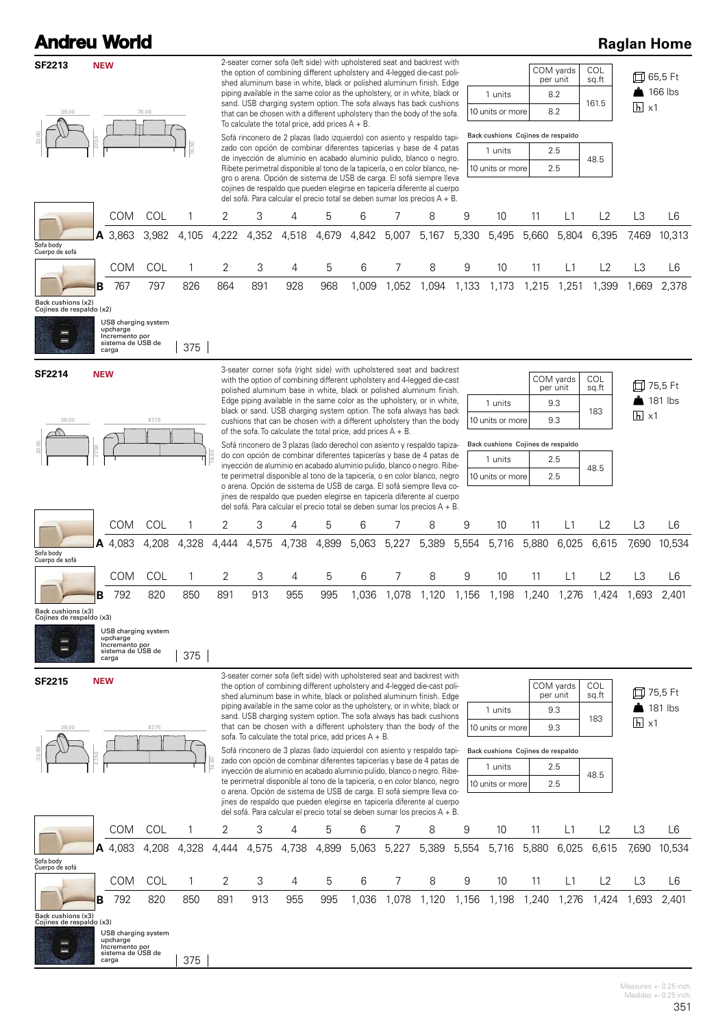| <b>Andreu World</b>                            |            |                                                                                        |       |                |                                                                                                                                                                                                                                                                                                                                                                                                                                                                                                                                                                                                                                                                                                                                                                                                                                                                                                        |                                                                 |       |       |       |       |                                                                                                                                                                                                                                                                                                                                                                                                                                                               |       |                                                                  |             |                                     |                                                |                   | <b>Raglan Home</b>               |
|------------------------------------------------|------------|----------------------------------------------------------------------------------------|-------|----------------|--------------------------------------------------------------------------------------------------------------------------------------------------------------------------------------------------------------------------------------------------------------------------------------------------------------------------------------------------------------------------------------------------------------------------------------------------------------------------------------------------------------------------------------------------------------------------------------------------------------------------------------------------------------------------------------------------------------------------------------------------------------------------------------------------------------------------------------------------------------------------------------------------------|-----------------------------------------------------------------|-------|-------|-------|-------|---------------------------------------------------------------------------------------------------------------------------------------------------------------------------------------------------------------------------------------------------------------------------------------------------------------------------------------------------------------------------------------------------------------------------------------------------------------|-------|------------------------------------------------------------------|-------------|-------------------------------------|------------------------------------------------|-------------------|----------------------------------|
| <b>SF2213</b><br>39.00                         | <b>NEW</b> |                                                                                        | 76.00 | 16.50          | 2-seater corner sofa (left side) with upholstered seat and backrest with<br>COM yards<br>COL<br>the option of combining different upholstery and 4-legged die-cast poli-<br>per unit<br>sq.ft<br>shed aluminum base in white, black or polished aluminum finish. Edge<br>piping available in the same color as the upholstery, or in white, black or<br>8.2<br>1 units<br>sand. USB charging system option. The sofa always has back cushions<br>161.5<br>8.2<br>10 units or more<br>that can be chosen with a different upholstery than the body of the sofa.<br>To calculate the total price, add prices $A + B$ .<br>Back cushions Cojines de respaldo<br>Sofá rinconero de 2 plazas (lado izquierdo) con asiento y respaldo tapi-<br>zado con opción de combinar diferentes tapicerías y base de 4 patas<br>1 units<br>2.5<br>de inyección de aluminio en acabado aluminio pulido, blanco o negro. |                                                                 |       |       |       |       |                                                                                                                                                                                                                                                                                                                                                                                                                                                               |       |                                                                  |             |                                     | 口 65,5 Ft<br>$\frac{1}{2}$ 166 lbs<br>$\ln x1$ |                   |                                  |
|                                                |            |                                                                                        |       |                |                                                                                                                                                                                                                                                                                                                                                                                                                                                                                                                                                                                                                                                                                                                                                                                                                                                                                                        |                                                                 |       |       |       |       | Ribete perimetral disponible al tono de la tapicería, o en color blanco, ne-<br>gro o arena. Opción de sistema de USB de carga. El sofá siempre lleva<br>cojines de respaldo que pueden elegirse en tapicería diferente al cuerpo<br>del sofá. Para calcular el precio total se deben sumar los precios $A + B$ .                                                                                                                                             |       | 10 units or more                                                 |             | 2.5                                 | 48.5                                           |                   |                                  |
|                                                |            | <b>COM</b>                                                                             | COL   |                | 2                                                                                                                                                                                                                                                                                                                                                                                                                                                                                                                                                                                                                                                                                                                                                                                                                                                                                                      | 3                                                               | 4     | 5     | 6     |       | 8                                                                                                                                                                                                                                                                                                                                                                                                                                                             | 9     | 10                                                               | 11          | L1                                  | L2                                             | L3                | L6                               |
| Sofa body<br>Cuerpo de sofá                    |            | A 3,863                                                                                | 3,982 | 4,105          | 4,222                                                                                                                                                                                                                                                                                                                                                                                                                                                                                                                                                                                                                                                                                                                                                                                                                                                                                                  | 4,352                                                           | 4,518 | 4,679 | 4,842 | 5,007 | 5,167                                                                                                                                                                                                                                                                                                                                                                                                                                                         | 5,330 | 5,495                                                            | 5,660       | 5,804                               | 6,395                                          | 7,469             | 10,313                           |
|                                                |            | COM                                                                                    | COL   | 1              | 2                                                                                                                                                                                                                                                                                                                                                                                                                                                                                                                                                                                                                                                                                                                                                                                                                                                                                                      | 3                                                               | 4     | 5     | 6     | 7     | 8                                                                                                                                                                                                                                                                                                                                                                                                                                                             | 9     | 10                                                               | 11          | L1                                  | L2                                             | L <sub>3</sub>    | L6                               |
| Back cushions (x2)<br>Cojines de respaldo (x2) | R          | 767<br>USB charging system<br>upcharge<br>Incremento por<br>sistema de USB de<br>carga | 797   | 826<br>375     | 864                                                                                                                                                                                                                                                                                                                                                                                                                                                                                                                                                                                                                                                                                                                                                                                                                                                                                                    | 891                                                             | 928   | 968   | 1,009 | 1,052 | 1,094                                                                                                                                                                                                                                                                                                                                                                                                                                                         | 1,133 | 1,173                                                            | 1,215       | 1,251                               | 1.399                                          | 1,669             | 2.378                            |
| <b>SF2214</b>                                  | <b>NEW</b> |                                                                                        |       |                |                                                                                                                                                                                                                                                                                                                                                                                                                                                                                                                                                                                                                                                                                                                                                                                                                                                                                                        |                                                                 |       |       |       |       | 3-seater corner sofa (right side) with upholstered seat and backrest<br>with the option of combining different upholstery and 4-legged die-cast                                                                                                                                                                                                                                                                                                               |       |                                                                  |             | COM yards                           | COL                                            |                   | 口 75,5 Ft                        |
|                                                |            |                                                                                        |       |                |                                                                                                                                                                                                                                                                                                                                                                                                                                                                                                                                                                                                                                                                                                                                                                                                                                                                                                        |                                                                 |       |       |       |       | polished aluminum base in white, black or polished aluminum finish.<br>Edge piping available in the same color as the upholstery, or in white,                                                                                                                                                                                                                                                                                                                |       | 1 units                                                          |             | per unit<br>9.3                     | sq.ft                                          |                   | $\triangle$ 181 lbs              |
| 39.00                                          |            |                                                                                        | 87.75 |                |                                                                                                                                                                                                                                                                                                                                                                                                                                                                                                                                                                                                                                                                                                                                                                                                                                                                                                        |                                                                 |       |       |       |       | black or sand. USB charging system option. The sofa always has back<br>cushions that can be chosen with a different upholstery than the body                                                                                                                                                                                                                                                                                                                  |       | 10 units or more                                                 |             | 9.3                                 | 183                                            | $\overline{h}$ x1 |                                  |
|                                                |            |                                                                                        |       |                |                                                                                                                                                                                                                                                                                                                                                                                                                                                                                                                                                                                                                                                                                                                                                                                                                                                                                                        | of the sofa. To calculate the total price, add prices $A + B$ . |       |       |       |       | Sofá rinconero de 3 plazas (lado derecho) con asiento y respaldo tapiza-                                                                                                                                                                                                                                                                                                                                                                                      |       | Back cushions Cojines de respaldo                                |             |                                     |                                                |                   |                                  |
|                                                |            |                                                                                        |       |                |                                                                                                                                                                                                                                                                                                                                                                                                                                                                                                                                                                                                                                                                                                                                                                                                                                                                                                        |                                                                 |       |       |       |       | do con opción de combinar diferentes tapicerías y base de 4 patas de<br>inyección de aluminio en acabado aluminio pulido, blanco o negro. Ribe-<br>te perimetral disponible al tono de la tapicería, o en color blanco, negro<br>o arena. Opción de sistema de USB de carga. El sofá siempre lleva co-<br>jines de respaldo que pueden elegirse en tapicería diferente al cuerpo<br>del sofá. Para calcular el precio total se deben sumar los precios A + B. |       | 1 units<br>10 units or more                                      |             | 2.5<br>2.5                          | 48.5                                           |                   |                                  |
|                                                |            | <b>COM</b>                                                                             | COL   | 1              | 2                                                                                                                                                                                                                                                                                                                                                                                                                                                                                                                                                                                                                                                                                                                                                                                                                                                                                                      | 3                                                               | 4     | 5     | 6     | 7     | 8                                                                                                                                                                                                                                                                                                                                                                                                                                                             | 9     | 10                                                               | 11          | L1                                  | L2                                             | L3                | L6                               |
| Sofa body<br>Cuerpo de sofá                    |            | A 4.083                                                                                | 4,208 | 4,328          | 4,444                                                                                                                                                                                                                                                                                                                                                                                                                                                                                                                                                                                                                                                                                                                                                                                                                                                                                                  | 4,575                                                           | 4,738 | 4,899 | 5,063 | 5,227 | 5,389                                                                                                                                                                                                                                                                                                                                                                                                                                                         | 5,554 | 5,716                                                            | 5,880       | 6,025                               | 6.615                                          | 7,690             | 10.534                           |
|                                                |            | COM                                                                                    | COL   | $\overline{1}$ | 2                                                                                                                                                                                                                                                                                                                                                                                                                                                                                                                                                                                                                                                                                                                                                                                                                                                                                                      | З                                                               | 4     | 5     | 6     | 7     | 8                                                                                                                                                                                                                                                                                                                                                                                                                                                             | 9     |                                                                  | 10 11 L1 L2 |                                     |                                                | L3                | L6                               |
| Back cushions (x3)<br>Cojines de respaldo (x3) | в          | 792                                                                                    | 820   | 850            | 891                                                                                                                                                                                                                                                                                                                                                                                                                                                                                                                                                                                                                                                                                                                                                                                                                                                                                                    | 913                                                             | 955   | 995   | 1,036 | 1,078 | 1,120                                                                                                                                                                                                                                                                                                                                                                                                                                                         | 1,156 | 1,198                                                            | 1,240       | 1,276                               | 1,424                                          | 1,693             | 2,401                            |
|                                                |            | USB charging system<br>upcharge<br>Incremento por<br>sistema de USB de<br>carga        |       | 375            |                                                                                                                                                                                                                                                                                                                                                                                                                                                                                                                                                                                                                                                                                                                                                                                                                                                                                                        |                                                                 |       |       |       |       |                                                                                                                                                                                                                                                                                                                                                                                                                                                               |       |                                                                  |             |                                     |                                                |                   |                                  |
| <b>SF2215</b><br>39.00                         | <b>NEW</b> |                                                                                        | 87.75 |                |                                                                                                                                                                                                                                                                                                                                                                                                                                                                                                                                                                                                                                                                                                                                                                                                                                                                                                        | sofa. To calculate the total price, add prices $A + B$ .        |       |       |       |       | 3-seater corner sofa (left side) with upholstered seat and backrest with<br>the option of combining different upholstery and 4-legged die-cast poli-<br>shed aluminum base in white, black or polished aluminum finish. Edge<br>piping available in the same color as the upholstery, or in white, black or<br>sand. USB charging system option. The sofa always has back cushions<br>that can be chosen with a different upholstery than the body of the     |       | 1 units<br>10 units or more                                      |             | COM yards<br>per unit<br>9.3<br>9.3 | COL<br>sq.ft<br>183                            | $\overline{h}$ x1 | 口 75,5 Ft<br>$\triangle$ 181 lbs |
|                                                |            |                                                                                        |       |                |                                                                                                                                                                                                                                                                                                                                                                                                                                                                                                                                                                                                                                                                                                                                                                                                                                                                                                        |                                                                 |       |       |       |       | Sofá rinconero de 3 plazas (lado izquierdo) con asiento y respaldo tapi-<br>zado con opción de combinar diferentes tapicerías y base de 4 patas de<br>inyección de aluminio en acabado aluminio pulido, blanco o negro. Ribe-<br>te perimetral disponible al tono de la tapicería, o en color blanco, negro<br>o arena. Opción de sistema de USB de carga. El sofá siempre lleva co-                                                                          |       | Back cushions Cojines de respaldo<br>1 units<br>10 units or more |             | 2.5<br>2.5                          | 48.5                                           |                   |                                  |
|                                                |            |                                                                                        |       |                |                                                                                                                                                                                                                                                                                                                                                                                                                                                                                                                                                                                                                                                                                                                                                                                                                                                                                                        |                                                                 |       |       |       |       | jines de respaldo que pueden elegirse en tapicería diferente al cuerpo<br>del sofá. Para calcular el precio total se deben sumar los precios A + B.                                                                                                                                                                                                                                                                                                           |       |                                                                  |             |                                     |                                                |                   |                                  |
|                                                |            | <b>COM</b>                                                                             | COL   | 1              | 2                                                                                                                                                                                                                                                                                                                                                                                                                                                                                                                                                                                                                                                                                                                                                                                                                                                                                                      | 3                                                               | 4     | 5     | 6     | 7     | 8                                                                                                                                                                                                                                                                                                                                                                                                                                                             | 9     | 10                                                               | 11          | L1                                  | L2                                             | L3                | L6                               |
| Sofa body                                      |            | A 4,083                                                                                | 4,208 | 4,328          | 4,444                                                                                                                                                                                                                                                                                                                                                                                                                                                                                                                                                                                                                                                                                                                                                                                                                                                                                                  | 4,575                                                           | 4,738 | 4,899 | 5,063 | 5,227 | 5,389                                                                                                                                                                                                                                                                                                                                                                                                                                                         | 5,554 | 5,716                                                            | 5,880       | 6,025                               | 6,615                                          | 7,690             | 10,534                           |
| Cuerpo de sofá                                 |            | COM                                                                                    | COL   | 1              | 2                                                                                                                                                                                                                                                                                                                                                                                                                                                                                                                                                                                                                                                                                                                                                                                                                                                                                                      | 3                                                               | 4     | 5     | 6     | 7     | 8                                                                                                                                                                                                                                                                                                                                                                                                                                                             | 9     | 10                                                               | 11          | L1                                  | L2                                             | L <sub>3</sub>    | L <sub>6</sub>                   |
|                                                | в          | 792                                                                                    | 820   | 850            | 891                                                                                                                                                                                                                                                                                                                                                                                                                                                                                                                                                                                                                                                                                                                                                                                                                                                                                                    | 913                                                             | 955   | 995   | 1,036 | 1,078 | 1,120                                                                                                                                                                                                                                                                                                                                                                                                                                                         | 1,156 | 1,198                                                            | 1,240       | 1,276                               | 1,424                                          | 1,693             | 2,401                            |
| Back cushions (x3)<br>Cojines de respaldo (x3) |            | USB charging system<br>upcharge<br>Incremento por<br>sistema de USB de<br>carga        |       | 375            |                                                                                                                                                                                                                                                                                                                                                                                                                                                                                                                                                                                                                                                                                                                                                                                                                                                                                                        |                                                                 |       |       |       |       |                                                                                                                                                                                                                                                                                                                                                                                                                                                               |       |                                                                  |             |                                     |                                                |                   |                                  |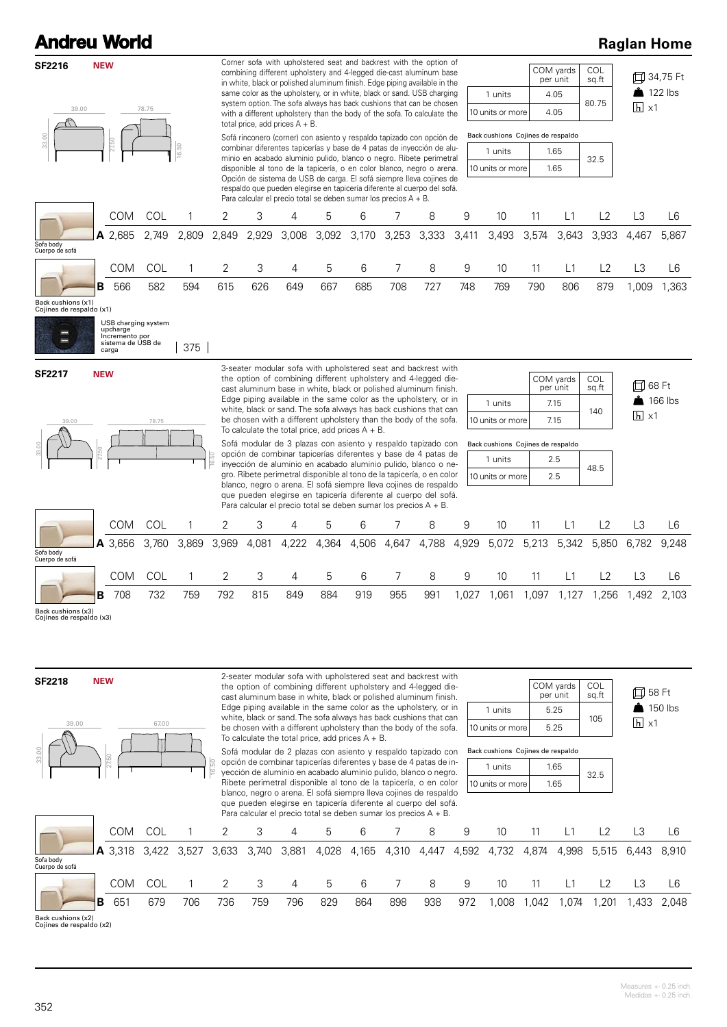|                                                | <b>Andreu World</b>                                      |                     |       |       |       |                                   |       |                                                                         |       |                                                                                                                                                                                                                                                                                                                                                                                                                                                                                                                                                                                                                                                                                                                                                                                                                                                                                                      |       |                                                                                                 |       |                                                       |                                           |                              | <b>Raglan Home</b>                  |
|------------------------------------------------|----------------------------------------------------------|---------------------|-------|-------|-------|-----------------------------------|-------|-------------------------------------------------------------------------|-------|------------------------------------------------------------------------------------------------------------------------------------------------------------------------------------------------------------------------------------------------------------------------------------------------------------------------------------------------------------------------------------------------------------------------------------------------------------------------------------------------------------------------------------------------------------------------------------------------------------------------------------------------------------------------------------------------------------------------------------------------------------------------------------------------------------------------------------------------------------------------------------------------------|-------|-------------------------------------------------------------------------------------------------|-------|-------------------------------------------------------|-------------------------------------------|------------------------------|-------------------------------------|
| <b>SF2216</b><br>39.00<br>33.00                | <b>NEW</b><br>27.50                                      | 78.75               | 16.50 |       |       | total price, add prices $A + B$ . |       |                                                                         |       | Corner sofa with upholstered seat and backrest with the option of<br>combining different upholstery and 4-legged die-cast aluminum base<br>in white, black or polished aluminum finish. Edge piping available in the<br>same color as the upholstery, or in white, black or sand. USB charging<br>system option. The sofa always has back cushions that can be chosen<br>with a different upholstery than the body of the sofa. To calculate the<br>Sofá rinconero (corner) con asiento y respaldo tapizado con opción de<br>combinar diferentes tapicerías y base de 4 patas de inyección de alu-<br>minio en acabado aluminio pulido, blanco o negro. Ribete perimetral<br>disponible al tono de la tapicería, o en color blanco, negro o arena.<br>Opción de sistema de USB de carga. El sofá siempre lleva cojines de<br>respaldo que pueden elegirse en tapicería diferente al cuerpo del sofá. |       | 1 units<br>10 units or more<br>Back cushions Cojines de respaldo<br>1 units<br>10 units or more |       | COM yards<br>per unit<br>4.05<br>4.05<br>1.65<br>1.65 | <b>COL</b><br>sq.ft<br>80.75<br>32.5      | $h \times 1$                 | 口 34,75 Ft<br>$\frac{1}{2}$ 122 lbs |
|                                                | <b>COM</b>                                               | COL                 |       | 2     | 3     | 4                                 | 5     | Para calcular el precio total se deben sumar los precios $A + B$ .<br>6 | 7     | 8                                                                                                                                                                                                                                                                                                                                                                                                                                                                                                                                                                                                                                                                                                                                                                                                                                                                                                    | 9     | 10                                                                                              | 11    | L1                                                    | L2                                        | L3                           | L6                                  |
| Sofa body<br>Cuerpo de sofá                    | A 2,685                                                  | 2,749               | 2,809 | 2,849 | 2,929 | 3,008                             | 3,092 | 3,170                                                                   | 3,253 | 3,333                                                                                                                                                                                                                                                                                                                                                                                                                                                                                                                                                                                                                                                                                                                                                                                                                                                                                                | 3,411 | 3,493                                                                                           | 3,574 | 3,643                                                 | 3,933                                     | 4,467                        | 5,867                               |
|                                                | COM                                                      | COL                 | 1     | 2     | 3     | 4                                 | 5     | 6                                                                       | 7     | 8                                                                                                                                                                                                                                                                                                                                                                                                                                                                                                                                                                                                                                                                                                                                                                                                                                                                                                    | 9     | 10                                                                                              | 11    | L1                                                    | L2                                        | L3                           | L6                                  |
| Back cushions (x1)<br>Cojines de respaldo (x1) | 566<br>в                                                 | 582                 | 594   | 615   | 626   | 649                               | 667   | 685                                                                     | 708   | 727                                                                                                                                                                                                                                                                                                                                                                                                                                                                                                                                                                                                                                                                                                                                                                                                                                                                                                  | 748   | 769                                                                                             | 790   | 806                                                   | 879                                       | 1,009                        | 1,363                               |
|                                                | upcharge<br>Incremento por<br>sistema de USB de<br>carga | USB charging system | 375   |       |       |                                   |       |                                                                         |       |                                                                                                                                                                                                                                                                                                                                                                                                                                                                                                                                                                                                                                                                                                                                                                                                                                                                                                      |       |                                                                                                 |       |                                                       |                                           |                              |                                     |
| <b>SF2217</b><br>39.00                         | <b>NEW</b>                                               | 78.75               |       | 16.50 |       |                                   |       | To calculate the total price, add prices $A + B$ .                      |       | 3-seater modular sofa with upholstered seat and backrest with<br>the option of combining different upholstery and 4-legged die-<br>cast aluminum base in white, black or polished aluminum finish.<br>Edge piping available in the same color as the upholstery, or in<br>white, black or sand. The sofa always has back cushions that can<br>be chosen with a different upholstery than the body of the sofa.<br>Sofá modular de 3 plazas con asiento y respaldo tapizado con<br>opción de combinar tapicerías diferentes y base de 4 patas de<br>inyección de aluminio en acabado aluminio pulido, blanco o ne-<br>gro. Ribete perimetral disponible al tono de la tapicería, o en color                                                                                                                                                                                                           |       | 1 units<br>10 units or more<br>Back cushions Cojines de respaldo<br>1 units<br>10 units or more |       | COM yards<br>per unit<br>7.15<br>7.15<br>2.5<br>2.5   | COL<br>sq.ft<br>140<br>48.5               | 口 68 Ft<br>$\overline{h}$ x1 | $\big $ 166 lbs                     |
|                                                |                                                          |                     |       |       |       |                                   |       |                                                                         |       | blanco, negro o arena. El sofá siempre lleva cojines de respaldo<br>que pueden elegirse en tapicería diferente al cuerpo del sofá.<br>Para calcular el precio total se deben sumar los precios $A + B$ .                                                                                                                                                                                                                                                                                                                                                                                                                                                                                                                                                                                                                                                                                             |       |                                                                                                 |       |                                                       |                                           |                              |                                     |
|                                                | <b>COM</b>                                               | COL                 | 1     | 2     | 3     | 4                                 | 5     | 6                                                                       | 7     | 8                                                                                                                                                                                                                                                                                                                                                                                                                                                                                                                                                                                                                                                                                                                                                                                                                                                                                                    | 9     | 10                                                                                              | 11    | L1                                                    | L2                                        | L3                           | L6                                  |
| Sofa body<br>Cuerpo de sofá                    | A 3,656                                                  | 3,760               | 3,869 | 3,969 | 4,081 | 4,222                             | 4,364 | 4,506                                                                   | 4,647 | 4,788                                                                                                                                                                                                                                                                                                                                                                                                                                                                                                                                                                                                                                                                                                                                                                                                                                                                                                | 4,929 | 5,072                                                                                           | 5,213 | 5,342                                                 | 5,850                                     | 6,782                        | 9,248                               |
|                                                | COM                                                      | COL                 | 1     | 2     | 3     | 4                                 | 5     | 6                                                                       | 7     | 8                                                                                                                                                                                                                                                                                                                                                                                                                                                                                                                                                                                                                                                                                                                                                                                                                                                                                                    | 9     | 10                                                                                              | 11    | L1                                                    | L2                                        | L3                           | L6                                  |
| Back cushions (x3)<br>Cojines de respaldo (x3) | 708<br>в                                                 | 732                 | 759   | 792   | 815   | 849                               | 884   | 919                                                                     | 955   | 991                                                                                                                                                                                                                                                                                                                                                                                                                                                                                                                                                                                                                                                                                                                                                                                                                                                                                                  |       |                                                                                                 |       |                                                       | 1,027 1,061 1,097 1,127 1,256 1,492 2,103 |                              |                                     |
| <b>SF2218</b><br>39.00                         | <b>NEW</b>                                               | 67.00               |       |       |       |                                   |       |                                                                         |       | 2-seater modular sofa with upholstered seat and backrest with<br>the option of combining different upholstery and 4-legged die-<br>cast aluminum base in white, black or polished aluminum finish.<br>Edge piping available in the same color as the upholstery, or in<br>white, black or sand. The sofa always has back cushions that can<br>he chosen with a different upholstery than the hody of the sofa                                                                                                                                                                                                                                                                                                                                                                                                                                                                                        |       | 1 units<br>$10$ unite or mo                                                                     |       | COM yards<br>per unit<br>5.25<br>5.25                 | COL<br>sq.ft<br>105                       | 口 58 Ft<br>$h \times 1$      | $\blacksquare$ 150 lbs              |



be chosen with a different upholstery than the body of the sofa. To calculate the total price, add prices A + B. Sofá modular de 2 plazas con asiento y respaldo tapizado con

opción de combinar tapicerías diferentes y base de 4 patas de inyección de aluminio en acabado aluminio pulido, blanco o negro. Ribete perimetral disponible al tono de la tapicería, o en color blanco, negro o arena. El sofá siempre lleva cojines de respaldo

|                  | COM yards | COL<br>sq.ft |
|------------------|-----------|--------------|
| 1 units          | 5.25      | 105          |
| 10 units or more | 5.25      |              |

| Back cushions Cojines de respaldo |      |      |  |  |  |  |  |  |  |
|-----------------------------------|------|------|--|--|--|--|--|--|--|
| 1 units                           | 1.65 | 32.5 |  |  |  |  |  |  |  |
| 10 units or more                  | 1.65 |      |  |  |  |  |  |  |  |

|                             |                                              |     |     |     |     |     | Didrico, riegio o arería. El sola sierripre lleva coliries de respaido<br>que pueden elegirse en tapicería diferente al cuerpo del sofá.<br>Para calcular el precio total se deben sumar los precios $A + B$ . |     |     |     |     |                                     |       |      |      |                         |       |
|-----------------------------|----------------------------------------------|-----|-----|-----|-----|-----|----------------------------------------------------------------------------------------------------------------------------------------------------------------------------------------------------------------|-----|-----|-----|-----|-------------------------------------|-------|------|------|-------------------------|-------|
|                             | COM                                          | COL |     |     |     | 4   | b.                                                                                                                                                                                                             |     |     | 8   | 9   | 10                                  | 11    | L1   |      |                         | L6    |
| Sofa body<br>Cuerpo de sofá | <b>A</b> 3,318 3,422 3,527 3,633 3,740 3,881 |     |     |     |     |     |                                                                                                                                                                                                                |     |     |     |     | 4,028 4,165 4,310 4,447 4,592 4,732 | 4,874 |      |      | 4,998 5,515 6,443 8,910 |       |
|                             | COM                                          | COL |     |     |     | 4   | b.                                                                                                                                                                                                             | 6   |     | 8   | 9   | 10                                  |       |      |      | LЗ                      | 16    |
|                             | 651                                          | 679 | 706 | 736 | 759 | 796 | 829                                                                                                                                                                                                            | 864 | 898 | 938 | 972 | .008                                | .042  | .074 | ,201 | .433                    | 2.048 |

Back cushions (x2) Cojines de respaldo (x2)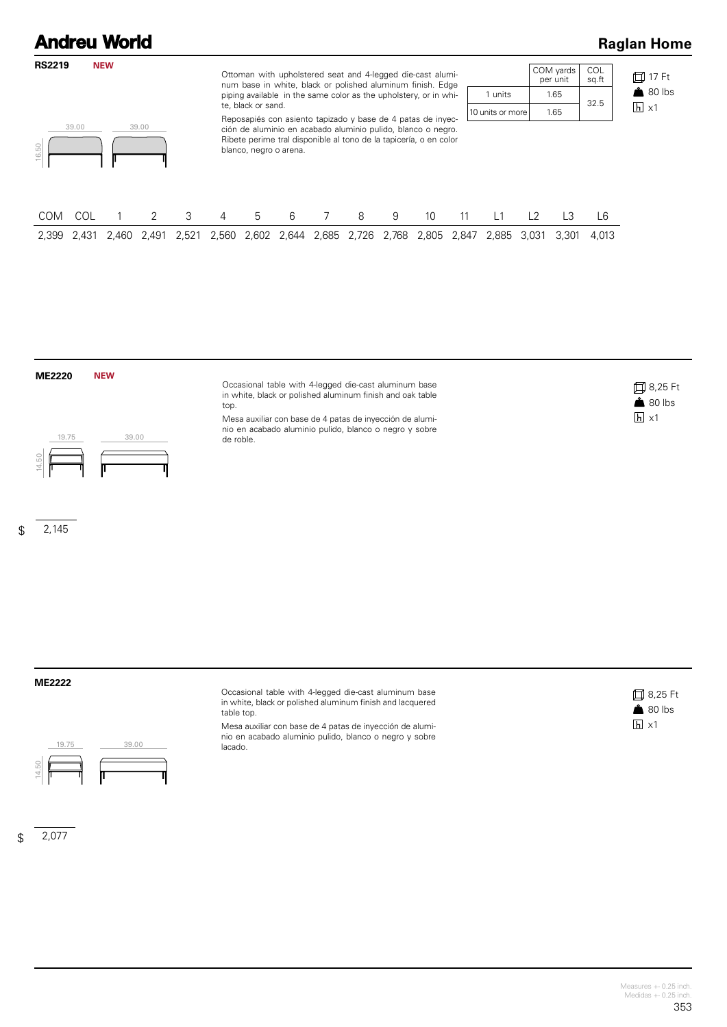### **Andreu World Raglan Home RS2219 NEW** COM yards per unit COL sq.ft Ottoman with upholstered seat and 4-legged die-cast alumi-17 Ft num base in white, black or polished aluminum finish. Edge  $80$  lbs piping available in the same color as the upholstery, or in whi-1 units 1.65 32.5 te, black or sand.  $\overline{h}$  x1 10 units or more 1.65 Reposapiés con asiento tapizado y base de 4 patas de inyec-39.00 39.00 ción de aluminio en acabado aluminio pulido, blanco o negro. Ribete perime tral disponible al tono de la tapicería, o en color 16.50 blanco, negro o arena. COM COL 1 2 3 4 5 6 7 8 9 10 11 L1 L2 L3 L6 2,399 2,431 2,460 2,491 2,521 2,560 2,602 2,644 2,685 2,726 2,768 2,805 2,847 2,885 3,031 3,301 4,013

#### **ME2220 NEW**



#### $\mathfrak{L}$ 2,145

Occasional table with 4-legged die-cast aluminum base in white, black or polished aluminum finish and oak table top.

Mesa auxiliar con base de 4 patas de inyección de aluminio en acabado aluminio pulido, blanco o negro y sobre de roble.



**ME2222**



 $\mathfrak{L}$ 2,077 Occasional table with 4-legged die-cast aluminum base in white, black or polished aluminum finish and lacquered table top.

Mesa auxiliar con base de 4 patas de inyección de aluminio en acabado aluminio pulido, blanco o negro y sobre lacado.